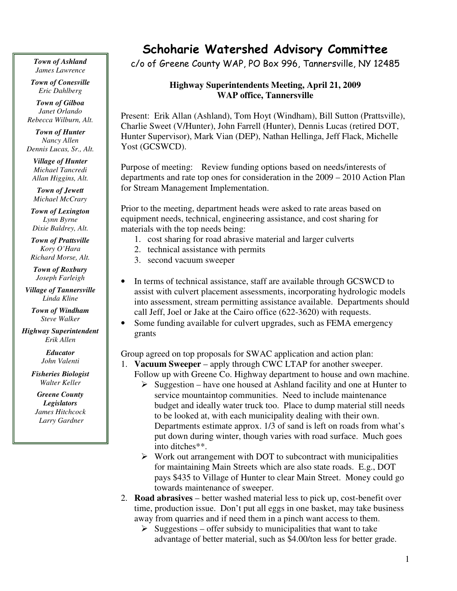*Town of Ashland James Lawrence*

*Town of Conesville Eric Dahlberg*

*Town of Gilboa Janet Orlando Rebecca Wilburn, Alt.*

*Town of Hunter Nancy Allen Dennis Lucas, Sr., Alt.*

*Village of Hunter Michael Tancredi Allan Higgins, Alt.*

*Town of Jewett Michael McCrary*

*Town of Lexington Lynn Byrne Dixie Baldrey, Alt.*

*Town of Prattsville Kory O'Hara Richard Morse, Alt.*

*Town of Roxbury Joseph Farleigh*

*Village of Tannersville Linda Kline*

*Town of Windham Steve Walker*

*Highway Superintendent Erik Allen*

> *Educator John Valenti*

*Fisheries Biologist Walter Keller*

*Greene County Legislators James Hitchcock Larry Gardner*

## Schoharie Watershed Advisory Committee

c/o of Greene County WAP, PO Box 996, Tannersville, NY 12485

## **Highway Superintendents Meeting, April 21, 2009 WAP office, Tannersville**

Present: Erik Allan (Ashland), Tom Hoyt (Windham), Bill Sutton (Prattsville), Charlie Sweet (V/Hunter), John Farrell (Hunter), Dennis Lucas (retired DOT, Hunter Supervisor), Mark Vian (DEP), Nathan Hellinga, Jeff Flack, Michelle Yost (GCSWCD).

Purpose of meeting: Review funding options based on needs/interests of departments and rate top ones for consideration in the 2009 – 2010 Action Plan for Stream Management Implementation.

Prior to the meeting, department heads were asked to rate areas based on equipment needs, technical, engineering assistance, and cost sharing for materials with the top needs being:

- 1. cost sharing for road abrasive material and larger culverts
- 2. technical assistance with permits
- 3. second vacuum sweeper
- In terms of technical assistance, staff are available through GCSWCD to assist with culvert placement assessments, incorporating hydrologic models into assessment, stream permitting assistance available. Departments should call Jeff, Joel or Jake at the Cairo office (622-3620) with requests.
- Some funding available for culvert upgrades, such as FEMA emergency grants

Group agreed on top proposals for SWAC application and action plan:

- 1. **Vacuum Sweeper** apply through CWC LTAP for another sweeper. Follow up with Greene Co. Highway department to house and own machine.
	- $\triangleright$  Suggestion have one housed at Ashland facility and one at Hunter to service mountaintop communities. Need to include maintenance budget and ideally water truck too. Place to dump material still needs to be looked at, with each municipality dealing with their own. Departments estimate approx. 1/3 of sand is left on roads from what's put down during winter, though varies with road surface. Much goes into ditches\*\*.
	- $\triangleright$  Work out arrangement with DOT to subcontract with municipalities for maintaining Main Streets which are also state roads. E.g., DOT pays \$435 to Village of Hunter to clear Main Street. Money could go towards maintenance of sweeper.
- 2. **Road abrasives** better washed material less to pick up, cost-benefit over time, production issue. Don't put all eggs in one basket, may take business away from quarries and if need them in a pinch want access to them.
	- $\triangleright$  Suggestions offer subsidy to municipalities that want to take advantage of better material, such as \$4.00/ton less for better grade.